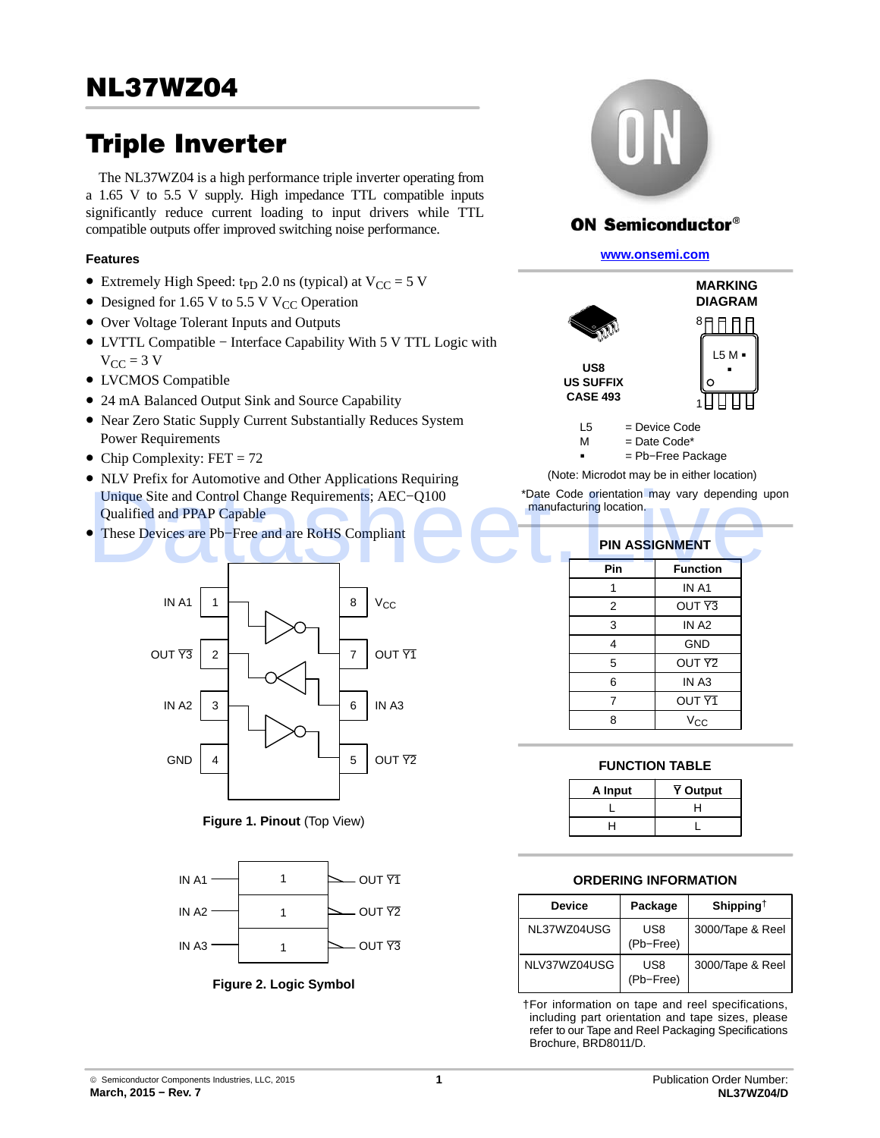# Triple Inverter

The NL37WZ04 is a high performance triple inverter operating from a 1.65 V to 5.5 V supply. High impedance TTL compatible inputs significantly reduce current loading to input drivers while TTL compatible outputs offer improved switching noise performance.

## **Features**

- Extremely High Speed: t<sub>PD</sub> 2.0 ns (typical) at  $V_{CC} = 5$  V
- Designed for 1.65 V to 5.5 V V<sub>CC</sub> Operation
- Over Voltage Tolerant Inputs and Outputs
- LVTTL Compatible − Interface Capability With 5 V TTL Logic with  $V_{CC}$  = 3 V
- LVCMOS Compatible
- 24 mA Balanced Output Sink and Source Capability
- Near Zero Static Supply Current Substantially Reduces System Power Requirements
- Chip Complexity:  $FET = 72$
- NLV Prefix for Automotive and Other Applications Requiring Unique Site and Control Change Requirements; AEC−Q100 Qualified and PPAP Capable The Site and Control Change Requirements; AEC-Q100<br>
Qualified and PPAP Capable<br>
These Devices are Pb-Free and are RoHS Compliant<br>
PIN ASSIGNMENT<br>
Pin Function
- These Devices are Pb−Free and are RoHS Compliant



**Figure 1. Pinout** (Top View)



**Figure 2. Logic Symbol**



# **ON Semiconductor®**

**[www.onsemi.com]( http://www.onsemi.com/)**



 $M =$ Date Code<sup>\*</sup>

-

= Pb−Free Package

(Note: Microdot may be in either location)

\*Date Code orientation may vary depending upon manufacturing location.

| <b>PIN ASSIGNMENT</b> |                   |  |  |  |  |  |  |  |  |
|-----------------------|-------------------|--|--|--|--|--|--|--|--|
| Pin                   | <b>Function</b>   |  |  |  |  |  |  |  |  |
|                       | IN A1             |  |  |  |  |  |  |  |  |
| 2                     | OUT <sub>Y3</sub> |  |  |  |  |  |  |  |  |
| 3                     | IN A <sub>2</sub> |  |  |  |  |  |  |  |  |
| 4                     | <b>GND</b>        |  |  |  |  |  |  |  |  |
| 5                     | OUT <sub>Y2</sub> |  |  |  |  |  |  |  |  |
| 6                     | IN A <sub>3</sub> |  |  |  |  |  |  |  |  |
| 7                     | OUT <sub>Y1</sub> |  |  |  |  |  |  |  |  |
| 8                     | Vcc               |  |  |  |  |  |  |  |  |

#### **FUNCTION TABLE**

| A Input | Y Output |
|---------|----------|
|         |          |
|         |          |

#### **ORDERING INFORMATION**

| <b>Device</b> | Package          | Shipping <sup><math>\dagger</math></sup> |  |  |
|---------------|------------------|------------------------------------------|--|--|
| NL37WZ04USG   | US8<br>(Pb-Free) | 3000/Tape & Reel                         |  |  |
| NLV37WZ04USG  | US8<br>(Pb-Free) | 3000/Tape & Reel                         |  |  |

†For information on tape and reel specifications, including part orientation and tape sizes, please refer to our Tape and Reel Packaging Specifications Brochure, BRD8011/D.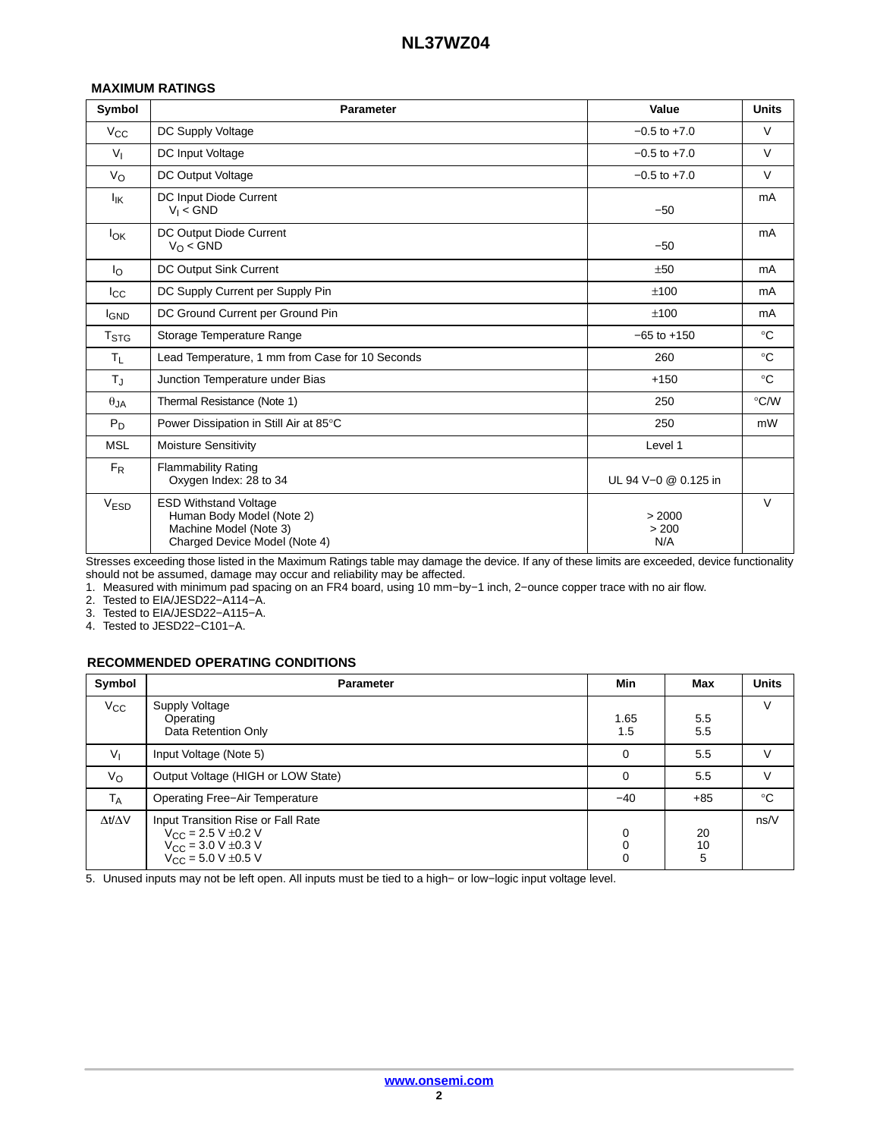#### **MAXIMUM RATINGS**

| Symbol             | <b>Parameter</b>                                                                                                     | Value                  | <b>Units</b> |
|--------------------|----------------------------------------------------------------------------------------------------------------------|------------------------|--------------|
| $V_{CC}$           | DC Supply Voltage                                                                                                    | $-0.5$ to $+7.0$       | $\vee$       |
| $V_{I}$            | DC Input Voltage                                                                                                     | $-0.5$ to $+7.0$       | $\vee$       |
| $V_{\rm O}$        | DC Output Voltage                                                                                                    | $-0.5$ to $+7.0$       | $\vee$       |
| $I_{IK}$           | DC Input Diode Current<br>$V_1 < GND$                                                                                | $-50$                  | mA           |
| lok                | DC Output Diode Current<br>$V_{\Omega}$ < GND                                                                        | $-50$                  | mA           |
| $I_{\rm O}$        | DC Output Sink Current                                                                                               | ±50                    | mA           |
| $_{\rm{lcc}}$      | DC Supply Current per Supply Pin                                                                                     | ±100                   | mA           |
| <b>IGND</b>        | DC Ground Current per Ground Pin                                                                                     | ±100                   | mA           |
| $T_{\mathsf{STG}}$ | Storage Temperature Range                                                                                            | $-65$ to $+150$        | $^{\circ}C$  |
| $T_{\rm L}$        | Lead Temperature, 1 mm from Case for 10 Seconds                                                                      | 260                    | $^{\circ}C$  |
| $T_{\rm J}$        | Junction Temperature under Bias                                                                                      | $+150$                 | $^{\circ}C$  |
| $\theta_{JA}$      | Thermal Resistance (Note 1)                                                                                          | 250                    | °C/W         |
| $P_D$              | Power Dissipation in Still Air at 85°C                                                                               | 250                    | mW           |
| <b>MSL</b>         | <b>Moisture Sensitivity</b>                                                                                          | Level 1                |              |
| $F_R$              | <b>Flammability Rating</b><br>Oxygen Index: 28 to 34                                                                 | UL 94 V-0 @ 0.125 in   |              |
| V <sub>ESD</sub>   | <b>ESD Withstand Voltage</b><br>Human Body Model (Note 2)<br>Machine Model (Note 3)<br>Charged Device Model (Note 4) | > 2000<br>> 200<br>N/A | $\vee$       |

Stresses exceeding those listed in the Maximum Ratings table may damage the device. If any of these limits are exceeded, device functionality should not be assumed, damage may occur and reliability may be affected.

1. Measured with minimum pad spacing on an FR4 board, using 10 mm−by−1 inch, 2−ounce copper trace with no air flow.

2. Tested to EIA/JESD22−A114−A.

3. Tested to EIA/JESD22−A115−A.

4. Tested to JESD22−C101−A.

#### **RECOMMENDED OPERATING CONDITIONS**

| Symbol              | <b>Parameter</b>                                                                                                                                          | <b>Min</b>  | Max           | <b>Units</b> |
|---------------------|-----------------------------------------------------------------------------------------------------------------------------------------------------------|-------------|---------------|--------------|
| $V_{\rm CC}$        | Supply Voltage<br>Operating<br>Data Retention Only                                                                                                        | 1.65<br>1.5 | 5.5<br>5.5    | $\vee$       |
| $V_{\parallel}$     | Input Voltage (Note 5)                                                                                                                                    | $\Omega$    | 5.5           | $\vee$       |
| Vo                  | Output Voltage (HIGH or LOW State)                                                                                                                        | $\Omega$    | 5.5           | $\vee$       |
| $T_A$               | <b>Operating Free-Air Temperature</b>                                                                                                                     | $-40$       | $+85$         | $^{\circ}C$  |
| $\Delta t/\Delta V$ | Input Transition Rise or Fall Rate<br>$V_{\rm CC}$ = 2.5 V $\pm$ 0.2 V<br>$V_{CC}$ = 3.0 V $\pm$ 0.3 V<br>$V_{\rm CC} = 5.0 \text{ V } \pm 0.5 \text{ V}$ | $\Omega$    | 20<br>10<br>5 | ns/V         |

5. Unused inputs may not be left open. All inputs must be tied to a high− or low−logic input voltage level.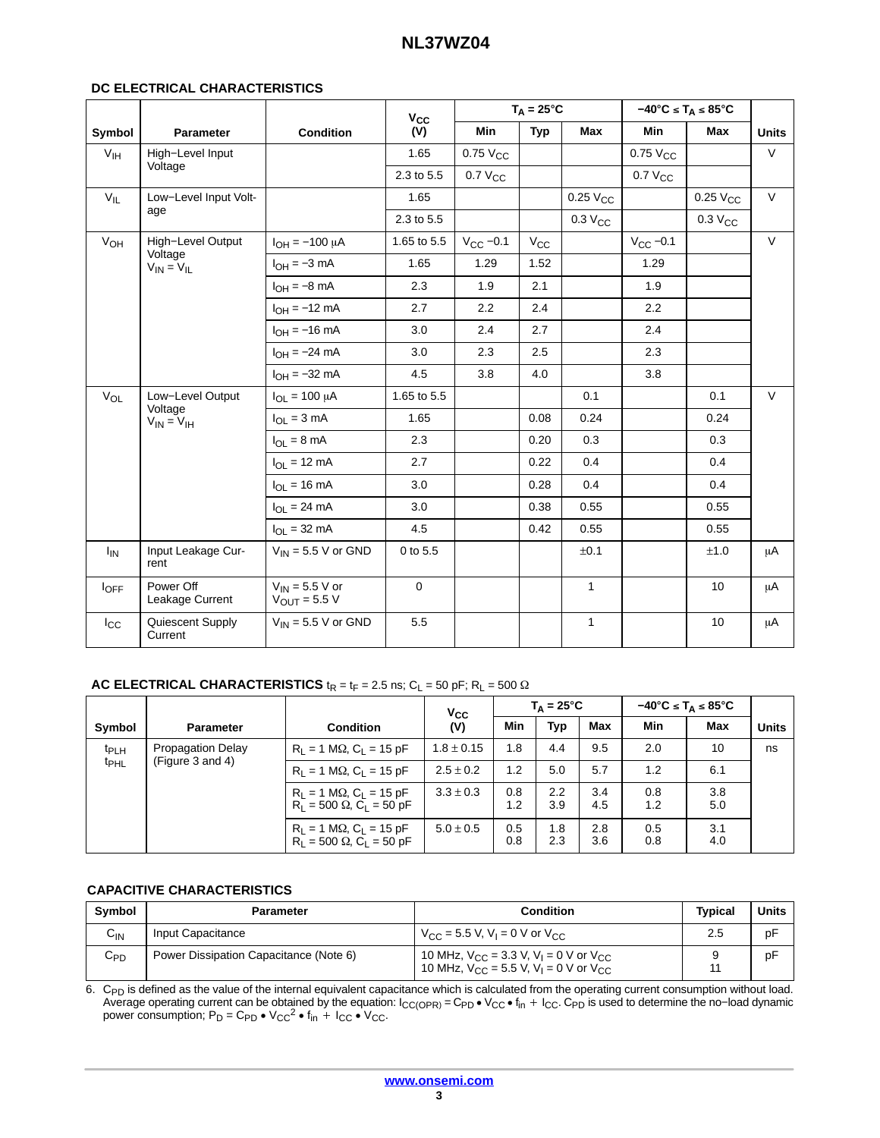### **DC ELECTRICAL CHARACTERISTICS**

|                  |                              |                                          | $V_{CC}$    |                 | $T_A = 25^{\circ}C$ |                 | $-40^{\circ}$ C ≤ T <sub>A</sub> ≤ 85°C |                     |              |
|------------------|------------------------------|------------------------------------------|-------------|-----------------|---------------------|-----------------|-----------------------------------------|---------------------|--------------|
| Symbol           | Parameter                    | <b>Condition</b>                         | (V)         | Min             | <b>Typ</b>          | Max             | Min                                     | Max                 | <b>Units</b> |
| V <sub>IH</sub>  | High-Level Input             |                                          | 1.65        | $0.75$ $V_{CC}$ |                     |                 | $0.75$ $V_{CC}$                         |                     | V            |
|                  | Voltage                      |                                          | 2.3 to 5.5  | $0.7 V_{CC}$    |                     |                 | $0.7 V_{CC}$                            |                     |              |
| $V_{IL}$         | Low-Level Input Volt-        |                                          | 1.65        |                 |                     | $0.25$ $V_{CC}$ |                                         | $0.25$ $V_{CC}$     | V            |
|                  | age                          |                                          | 2.3 to 5.5  |                 |                     | $0.3 V_{CC}$    |                                         | 0.3 V <sub>CC</sub> |              |
| V <sub>OH</sub>  | High-Level Output<br>Voltage | $I_{OH} = -100 \mu A$                    | 1.65 to 5.5 | $V_{CC}$ -0.1   | $V_{\rm CC}$        |                 | $V_{CC}$ -0.1                           |                     | $\vee$       |
|                  | $V_{IN} = V_{IL}$            | $I_{OH} = -3$ mA                         | 1.65        | 1.29            | 1.52                |                 | 1.29                                    |                     |              |
|                  |                              | $I_{OH} = -8$ mA                         | 2.3         | 1.9             | 2.1                 |                 | 1.9                                     |                     |              |
|                  |                              | $I_{OH} = -12$ mA                        | 2.7         | 2.2             | 2.4                 |                 | 2.2                                     |                     |              |
|                  |                              | $I_{OH} = -16$ mA                        | 3.0         | 2.4             | 2.7                 |                 | 2.4                                     |                     |              |
|                  |                              | $I_{OH} = -24$ mA                        | 3.0         | 2.3             | 2.5                 |                 | 2.3                                     |                     |              |
|                  |                              | $I_{OH} = -32$ mA                        | 4.5         | 3.8             | 4.0                 |                 | 3.8                                     |                     |              |
| $V_{OL}$         | Low-Level Output<br>Voltage  | $I_{OL} = 100 \mu A$                     | 1.65 to 5.5 |                 |                     | 0.1             |                                         | 0.1                 | V            |
|                  | $V_{IN} = V_{IH}$            | $I_{OL} = 3 mA$                          | 1.65        |                 | 0.08                | 0.24            |                                         | 0.24                |              |
|                  |                              | $I_{\Omega I} = 8 \text{ mA}$            | 2.3         |                 | 0.20                | 0.3             |                                         | 0.3                 |              |
|                  |                              | $I_{OL}$ = 12 mA                         | 2.7         |                 | 0.22                | 0.4             |                                         | 0.4                 |              |
|                  |                              | $I_{OL}$ = 16 mA                         | 3.0         |                 | 0.28                | 0.4             |                                         | 0.4                 |              |
|                  |                              | $I_{OL}$ = 24 mA                         | 3.0         |                 | 0.38                | 0.55            |                                         | 0.55                |              |
|                  |                              | $I_{\Omega I}$ = 32 mA                   | 4.5         |                 | 0.42                | 0.55            |                                         | 0.55                |              |
| $I_{IN}$         | Input Leakage Cur-<br>rent   | $V_{\text{IN}}$ = 5.5 V or GND           | 0 to 5.5    |                 |                     | ±0.1            |                                         | ±1.0                | μA           |
| $I_{\text{OFF}}$ | Power Off<br>Leakage Current | $V_{IN}$ = 5.5 V or<br>$V_{OUT} = 5.5 V$ | $\mathbf 0$ |                 |                     | $\mathbf{1}$    |                                         | 10                  | μA           |
| $_{\rm lcc}$     | Quiescent Supply<br>Current  | $V_{IN}$ = 5.5 V or GND                  | 5.5         |                 |                     | $\mathbf{1}$    |                                         | 10                  | μA           |

## **AC ELECTRICAL CHARACTERISTICS**  $t_R = t_F = 2.5$  ns;  $C_L = 50$  pF;  $R_L = 500 \Omega$

|                                      |                                              |                                                                                 | <b>V<sub>cc</sub></b> |            | $T_A = 25^{\circ}C$ |            |            | $-40^{\circ}$ C ≤ T <sub>A</sub> ≤ 85 $^{\circ}$ C |              |
|--------------------------------------|----------------------------------------------|---------------------------------------------------------------------------------|-----------------------|------------|---------------------|------------|------------|----------------------------------------------------|--------------|
| Symbol                               | <b>Parameter</b>                             | <b>Condition</b>                                                                | (V)                   | Min        | <b>Typ</b>          | Max        | Min        | Max                                                | <b>Units</b> |
| t <sub>PLH</sub><br>t <sub>PHL</sub> | <b>Propagation Delay</b><br>(Figure 3 and 4) | $R_1 = 1 M\Omega$ , $C_1 = 15 pF$                                               | $1.8 \pm 0.15$        | 1.8        | 4.4                 | 9.5        | 2.0        | 10                                                 | ns           |
|                                      |                                              | $R_L = 1 M\Omega$ , C <sub>L</sub> = 15 pF                                      | $2.5 \pm 0.2$         | 1.2        | 5.0                 | 5.7        | 1.2        | 6.1                                                |              |
|                                      |                                              | $R_L = 1 M\Omega$ , $C_L = 15 pF$<br>$R_1 = 500 \Omega, C_1 = 50 \text{ pF}$    | $3.3 \pm 0.3$         | 0.8<br>1.2 | 2.2<br>3.9          | 3.4<br>4.5 | 0.8<br>1.2 | 3.8<br>5.0                                         |              |
|                                      |                                              | $R_L = 1 M\Omega$ , $C_L = 15 pF$<br>$R_L = 500 \Omega$ , $C_L = 50 \text{ pF}$ | $5.0 \pm 0.5$         | 0.5<br>0.8 | 1.8<br>2.3          | 2.8<br>3.6 | 0.5<br>0.8 | 3.1<br>4.0                                         |              |

# **CAPACITIVE CHARACTERISTICS**

| Symbol            | Parameter                              | Condition                                                                                                              | <b>Typical</b> | <b>Units</b> |
|-------------------|----------------------------------------|------------------------------------------------------------------------------------------------------------------------|----------------|--------------|
| $\sim$<br>∪υ      | Input Capacitance                      | $V_{CC}$ = 5.5 V, V <sub>I</sub> = 0 V or V <sub>CC</sub>                                                              | 2.5            | pF           |
| $\mathtt{C_{PD}}$ | Power Dissipation Capacitance (Note 6) | 10 MHz, $V_{CC}$ = 3.3 V, V <sub>I</sub> = 0 V or V <sub>CC</sub><br>10 MHz, $V_{CC} = 5.5$ V, $V_1 = 0$ V or $V_{CC}$ |                | pF           |

6. C<sub>PD</sub> is defined as the value of the internal equivalent capacitance which is calculated from the operating current consumption without load.<br>Average operating current can be obtained by the equation: I<sub>CC(OPR)</sub> = C<sub>P</sub>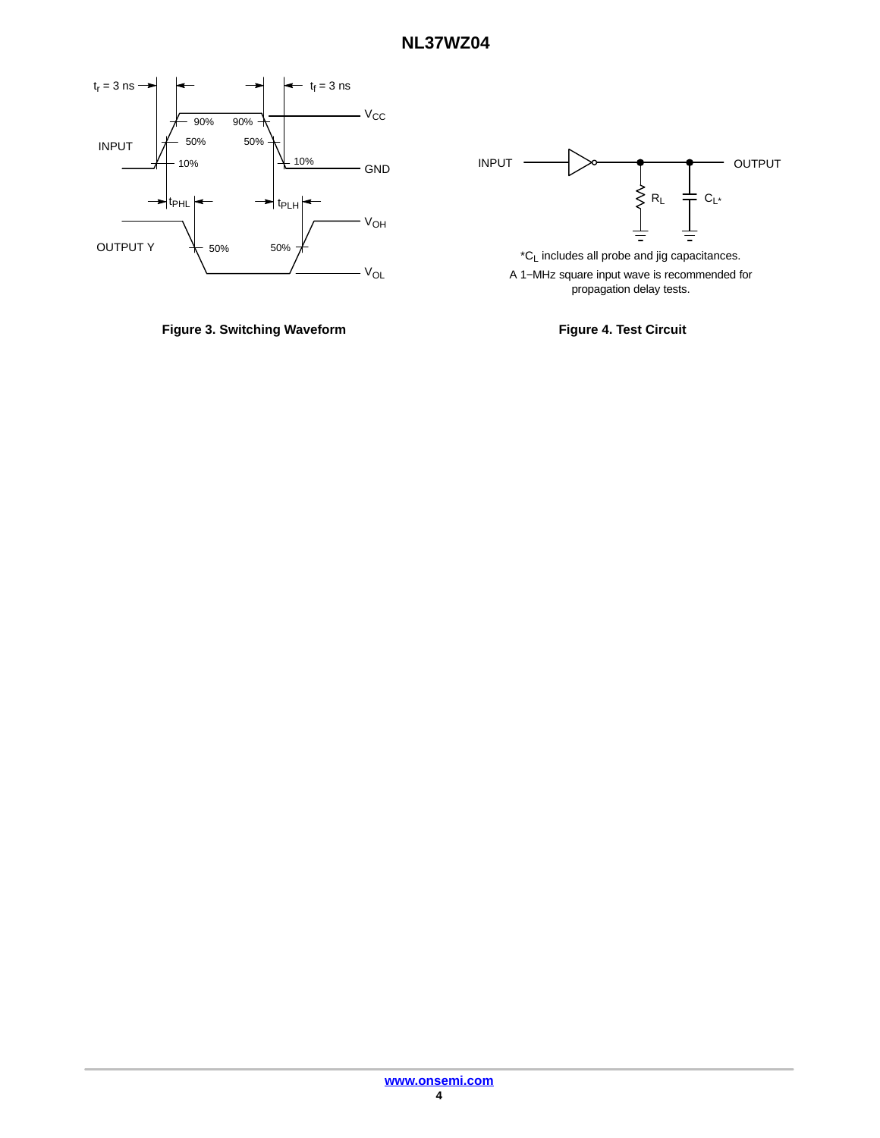<span id="page-3-0"></span>





A 1−MHz square input wave is recommended for propagation delay tests.